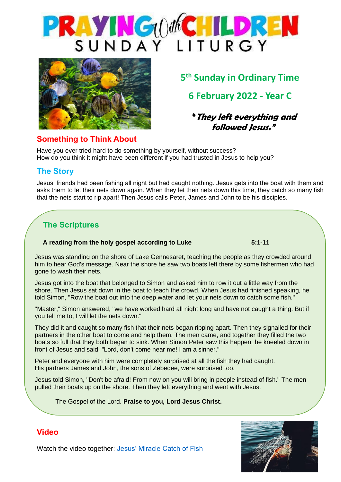



# **5 th Sunday in Ordinary Time**

**6 February 2022 - Year C**

# **"They left everything and followed Jesus."**

### **Something to Think About**

Have you ever tried hard to do something by yourself, without success? How do you think it might have been different if you had trusted in Jesus to help you?

### **The Story**

Jesus' friends had been fishing all night but had caught nothing. Jesus gets into the boat with them and asks them to let their nets down again. When they let their nets down this time, they catch so many fish that the nets start to rip apart! Then Jesus calls Peter, James and John to be his disciples.

### **The Scriptures**

### **A reading from the holy gospel according to Luke 5:1-11**

Jesus was standing on the shore of Lake Gennesaret, teaching the people as they crowded around him to hear God's message. Near the shore he saw two boats left there by some fishermen who had gone to wash their nets.

Jesus got into the boat that belonged to Simon and asked him to row it out a little way from the shore. Then Jesus sat down in the boat to teach the crowd. When Jesus had finished speaking, he told Simon, "Row the boat out into the deep water and let your nets down to catch some fish."

"Master," Simon answered, "we have worked hard all night long and have not caught a thing. But if you tell me to, I will let the nets down."

They did it and caught so many fish that their nets began ripping apart. Then they signalled for their partners in the other boat to come and help them. The men came, and together they filled the two boats so full that they both began to sink. When Simon Peter saw this happen, he kneeled down in front of Jesus and said, "Lord, don't come near me! I am a sinner."

Peter and everyone with him were completely surprised at all the fish they had caught. His partners James and John, the sons of Zebedee, were surprised too.

Jesus told Simon, "Don't be afraid! From now on you will bring in people instead of fish." The men pulled their boats up on the shore. Then they left everything and went with Jesus.

### The Gospel of the Lord. **Praise to you, Lord Jesus Christ.**



### **Video**

Watch the video together: [Jesus' Miracle Catch of Fish](https://www.youtube.com/watch?v=NxR2NYTyeyY)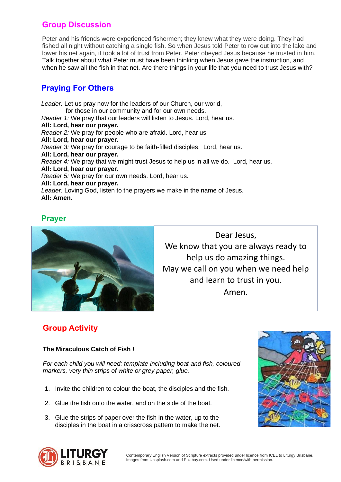### **Group Discussion**

Peter and his friends were experienced fishermen; they knew what they were doing. They had fished all night without catching a single fish. So when Jesus told Peter to row out into the lake and lower his net again, it took a lot of trust from Peter. Peter obeyed Jesus because he trusted in him. Talk together about what Peter must have been thinking when Jesus gave the instruction, and when he saw all the fish in that net. Are there things in your life that you need to trust Jesus with?

## **Praying For Others**

*Leader:* Let us pray now for the leaders of our Church, our world, for those in our community and for our own needs. *Reader 1:* We pray that our leaders will listen to Jesus. Lord, hear us. **All: Lord, hear our prayer.** *Reader 2:* We pray for people who are afraid. Lord, hear us. **All: Lord, hear our prayer.** *Reader 3:* We pray for courage to be faith-filled disciples. Lord, hear us. **All: Lord, hear our prayer.** *Reader 4:* We pray that we might trust Jesus to help us in all we do. Lord, hear us. **All: Lord, hear our prayer.** *Reader 5:* We pray for our own needs. Lord, hear us. **All: Lord, hear our prayer.** *Leader:* Loving God, listen to the prayers we make in the name of Jesus. **All: Amen.**

### **Prayer**



Dear Jesus, We know that you are always ready to help us do amazing things. May we call on you when we need help and learn to trust in you. Amen.

# **Group Activity**

### **The Miraculous Catch of Fish !**

*For each child you will need: template including boat and fish, coloured markers, very thin strips of white or grey paper, glue.*

- 1. Invite the children to colour the boat, the disciples and the fish.
- 2. Glue the fish onto the water, and on the side of the boat.
- 3. Glue the strips of paper over the fish in the water, up to the disciples in the boat in a crisscross pattern to make the net.



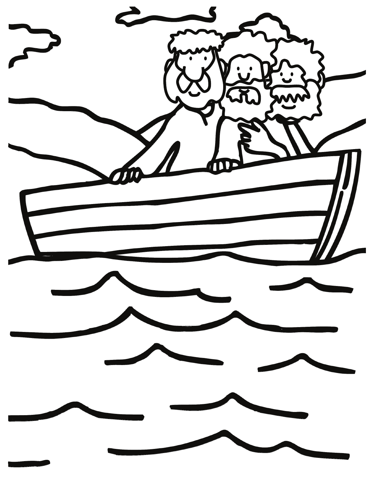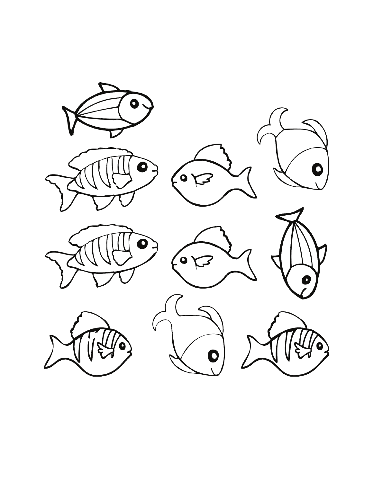